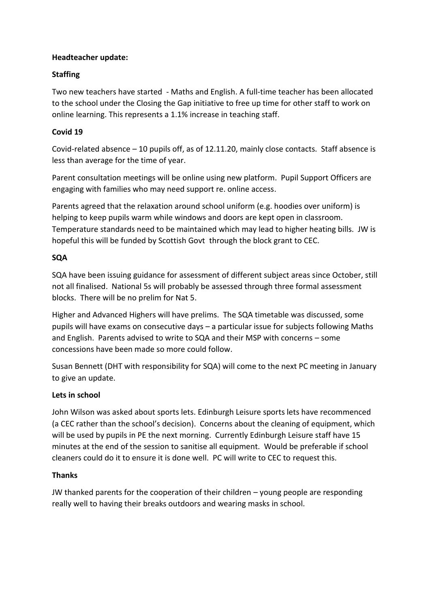## **Headteacher update:**

# **Staffing**

Two new teachers have started - Maths and English. A full-time teacher has been allocated to the school under the Closing the Gap initiative to free up time for other staff to work on online learning. This represents a 1.1% increase in teaching staff.

# **Covid 19**

Covid-related absence – 10 pupils off, as of 12.11.20, mainly close contacts. Staff absence is less than average for the time of year.

Parent consultation meetings will be online using new platform. Pupil Support Officers are engaging with families who may need support re. online access.

Parents agreed that the relaxation around school uniform (e.g. hoodies over uniform) is helping to keep pupils warm while windows and doors are kept open in classroom. Temperature standards need to be maintained which may lead to higher heating bills. JW is hopeful this will be funded by Scottish Govt through the block grant to CEC.

## **SQA**

SQA have been issuing guidance for assessment of different subject areas since October, still not all finalised. National 5s will probably be assessed through three formal assessment blocks. There will be no prelim for Nat 5.

Higher and Advanced Highers will have prelims. The SQA timetable was discussed, some pupils will have exams on consecutive days – a particular issue for subjects following Maths and English. Parents advised to write to SQA and their MSP with concerns – some concessions have been made so more could follow.

Susan Bennett (DHT with responsibility for SQA) will come to the next PC meeting in January to give an update.

## **Lets in school**

John Wilson was asked about sports lets. Edinburgh Leisure sports lets have recommenced (a CEC rather than the school's decision). Concerns about the cleaning of equipment, which will be used by pupils in PE the next morning. Currently Edinburgh Leisure staff have 15 minutes at the end of the session to sanitise all equipment. Would be preferable if school cleaners could do it to ensure it is done well. PC will write to CEC to request this.

## **Thanks**

JW thanked parents for the cooperation of their children – young people are responding really well to having their breaks outdoors and wearing masks in school.